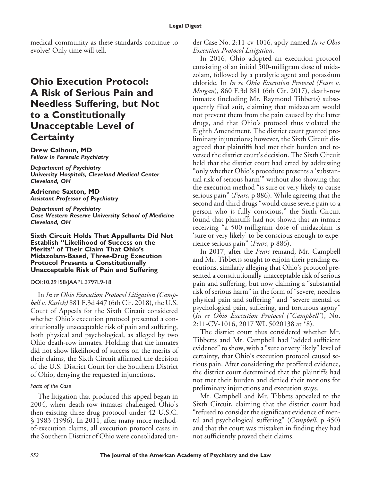medical community as these standards continue to evolve? Only time will tell.

# **Ohio Execution Protocol: A Risk of Serious Pain and Needless Suffering, but Not to a Constitutionally Unacceptable Level of Certainty**

**Drew Calhoun, MD** *Fellow in Forensic Psychiatry*

*Department of Psychiatry University Hospitals, Cleveland Medical Center Cleveland, OH*

**Adrienne Saxton, MD** *Assistant Professor of Psychiatry*

*Department of Psychiatry Case Western Reserve University School of Medicine Cleveland, OH*

**Sixth Circuit Holds That Appellants Did Not Establish "Likelihood of Success on the Merits" of Their Claim That Ohio's Midazolam-Based, Three-Drug Execution Protocol Presents a Constitutionally Unacceptable Risk of Pain and Suffering**

#### DOI:10.29158/JAAPL.3797L9-18

In *In re Ohio Execution Protocol Litigation (Campbell v. Kasich)* 881 F.3d 447 (6th Cir. 2018), the U.S. Court of Appeals for the Sixth Circuit considered whether Ohio's execution protocol presented a constitutionally unacceptable risk of pain and suffering, both physical and psychological, as alleged by two Ohio death-row inmates. Holding that the inmates did not show likelihood of success on the merits of their claims, the Sixth Circuit affirmed the decision of the U.S. District Court for the Southern District of Ohio, denying the requested injunctions.

#### *Facts of the Case*

The litigation that produced this appeal began in 2004, when death-row inmates challenged Ohio's then-existing three-drug protocol under 42 U.S.C. § 1983 (1996). In 2011, after many more methodof-execution claims, all execution protocol cases in the Southern District of Ohio were consolidated under Case No. 2:11-cv-1016, aptly named *In re Ohio Execution Protocol Litigation*.

In 2016, Ohio adopted an execution protocol consisting of an initial 500-milligram dose of midazolam, followed by a paralytic agent and potassium chloride. In *In re Ohio Execution Protocol (Fears v. Morgan*), 860 F.3d 881 (6th Cir. 2017), death-row inmates (including Mr. Raymond Tibbetts) subsequently filed suit, claiming that midazolam would not prevent them from the pain caused by the latter drugs, and that Ohio's protocol thus violated the Eighth Amendment. The district court granted preliminary injunctions; however, the Sixth Circuit disagreed that plaintiffs had met their burden and reversed the district court's decision. The Sixth Circuit held that the district court had erred by addressing "only whether Ohio's procedure presents a 'substantial risk of serious harm'" without also showing that the execution method "is sure or very likely to cause serious pain" (*Fears*, p 886). While agreeing that the second and third drugs "would cause severe pain to a person who is fully conscious," the Sixth Circuit found that plaintiffs had not shown that an inmate receiving "a 500-milligram dose of midazolam is 'sure or very likely' to be conscious enough to experience serious pain" (*Fears*, p 886).

In 2017, after the *Fears* remand, Mr. Campbell and Mr. Tibbetts sought to enjoin their pending executions, similarly alleging that Ohio's protocol presented a constitutionally unacceptable risk of serious pain and suffering, but now claiming a "substantial risk of serious harm" in the form of "severe, needless physical pain and suffering" and "severe mental or psychological pain, suffering, and torturous agony" (*In re Ohio Execution Protocol ("Campbell"*), No. 2:11-CV-1016, 2017 WL 5020138 at \*8).

The district court thus considered whether Mr. Tibbetts and Mr. Campbell had "added sufficient evidence" to show, with a "sure or very likely" level of certainty, that Ohio's execution protocol caused serious pain. After considering the proffered evidence, the district court determined that the plaintiffs had not met their burden and denied their motions for preliminary injunctions and execution stays.

Mr. Campbell and Mr. Tibbets appealed to the Sixth Circuit, claiming that the district court had "refused to consider the significant evidence of mental and psychological suffering" (*Campbell*, p 450) and that the court was mistaken in finding they had not sufficiently proved their claims.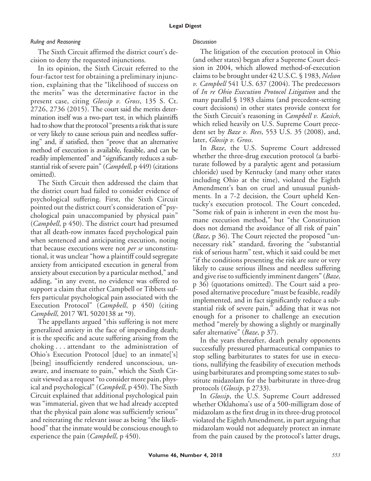### *Ruling and Reasoning*

The Sixth Circuit affirmed the district court's decision to deny the requested injunctions.

In its opinion, the Sixth Circuit referred to the four-factor test for obtaining a preliminary injunction, explaining that the "likelihood of success on the merits" was the determinative factor in the present case, citing *Glossip v. Gross*, 135 S. Ct. 2726, 2736 (2015). The court said the merits determination itself was a two-part test, in which plaintiffs had to show that the protocol "presents a risk that is sure or very likely to cause serious pain and needless suffering" and, if satisfied, then "prove that an alternative method of execution is available, feasible, and can be readily implemented" and "significantly reduces a substantial risk of severe pain" (*Campbell*, p 449) (citations omitted).

The Sixth Circuit then addressed the claim that the district court had failed to consider evidence of psychological suffering. First, the Sixth Circuit pointed out the district court's consideration of "psychological pain unaccompanied by physical pain" (*Campbell*, p 450). The district court had presumed that all death-row inmates faced psychological pain when sentenced and anticipating execution, noting that because executions were not *per se* unconstitutional, it was unclear "how a plaintiff could segregate anxiety from anticipated execution in general from anxiety about execution by a particular method," and adding, "in any event, no evidence was offered to support a claim that either Campbell or Tibbets suffers particular psychological pain associated with the Execution Protocol" (*Campbell*, p 450) (citing *Campbell*, 2017 WL 5020138 at \*9).

The appellants argued "this suffering is not mere generalized anxiety in the face of impending death; it is the specific and acute suffering arising from the choking... attendant to the administration of Ohio's Execution Protocol [due] to an inmate['s] [being] insufficiently rendered unconscious, unaware, and insensate to pain," which the Sixth Circuit viewed as a request "to consider more pain, physical and psychological" (*Campbell*, p 450). The Sixth Circuit explained that additional psychological pain was "immaterial, given that we had already accepted that the physical pain alone was sufficiently serious" and reiterating the relevant issue as being "the likelihood" that the inmate would be conscious enough to experience the pain (*Campbell*, p 450).

### *Discussion*

The litigation of the execution protocol in Ohio (and other states) began after a Supreme Court decision in 2004, which allowed method-of-execution claims to be brought under 42 U.S.C. § 1983, *Nelson v. Campbell* 541 U.S. 637 (2004). The predecessors of *In re Ohio Execution Protocol Litigation* and the many parallel § 1983 claims (and precedent-setting court decisions) in other states provide context for the Sixth Circuit's reasoning in *Campbell v. Kasich*, which relied heavily on U.S. Supreme Court precedent set by *Baze v. Rees*, 553 U.S. 35 (2008), and, later, *Glossip v. Gross*.

In *Baze*, the U.S. Supreme Court addressed whether the three-drug execution protocol (a barbiturate followed by a paralytic agent and potassium chloride) used by Kentucky (and many other states including Ohio at the time), violated the Eighth Amendment's ban on cruel and unusual punishments. In a 7-2 decision, the Court upheld Kentucky's execution protocol. The Court conceded, "Some risk of pain is inherent in even the most humane execution method," but "the Constitution does not demand the avoidance of all risk of pain" (*Baze*, p 36). The Court rejected the proposed "unnecessary risk" standard, favoring the "substantial risk of serious harm" test, which it said could be met "if the conditions presenting the risk are sure or very likely to cause serious illness and needless suffering and give rise to sufficiently imminent dangers" (*Baze*, p 36) (quotations omitted). The Court said a proposed alternative procedure "must be feasible, readily implemented, and in fact significantly reduce a substantial risk of severe pain," adding that it was not enough for a prisoner to challenge an execution method "merely by showing a slightly or marginally safer alternative" (*Baze*, p 37).

In the years thereafter, death penalty opponents successfully pressured pharmaceutical companies to stop selling barbiturates to states for use in executions, nullifying the feasibility of execution methods using barbiturates and prompting some states to substitute midazolam for the barbiturate in three-drug protocols (*Glossip*, p 2733).

In *Glossip*, the U.S. Supreme Court addressed whether Oklahoma's use of a 500-milligram dose of midazolam as the first drug in its three-drug protocol violated the Eighth Amendment, in part arguing that midazolam would not adequately protect an inmate from the pain caused by the protocol's latter drugs,